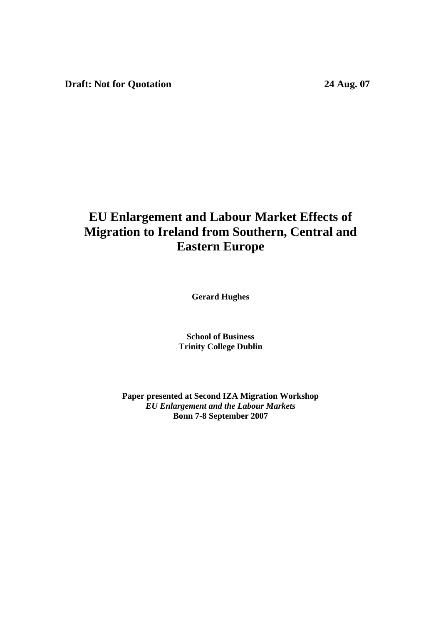**Draft: Not for Quotation** 24 Aug. 07

# **EU Enlargement and Labour Market Effects of Migration to Ireland from Southern, Central and Eastern Europe**

**Gerard Hughes** 

**School of Business Trinity College Dublin** 

**Paper presented at Second IZA Migration Workshop**  *EU Enlargement and the Labour Markets*  **Bonn 7-8 September 2007**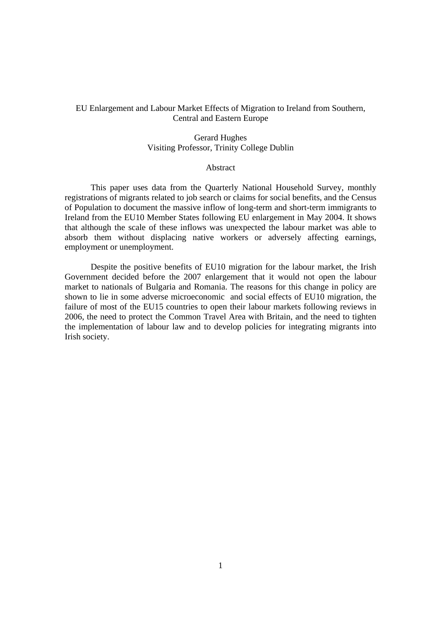# EU Enlargement and Labour Market Effects of Migration to Ireland from Southern, Central and Eastern Europe

# Gerard Hughes Visiting Professor, Trinity College Dublin

# Abstract

This paper uses data from the Quarterly National Household Survey, monthly registrations of migrants related to job search or claims for social benefits, and the Census of Population to document the massive inflow of long-term and short-term immigrants to Ireland from the EU10 Member States following EU enlargement in May 2004. It shows that although the scale of these inflows was unexpected the labour market was able to absorb them without displacing native workers or adversely affecting earnings, employment or unemployment.

Despite the positive benefits of EU10 migration for the labour market, the Irish Government decided before the 2007 enlargement that it would not open the labour market to nationals of Bulgaria and Romania. The reasons for this change in policy are shown to lie in some adverse microeconomic and social effects of EU10 migration, the failure of most of the EU15 countries to open their labour markets following reviews in 2006, the need to protect the Common Travel Area with Britain, and the need to tighten the implementation of labour law and to develop policies for integrating migrants into Irish society.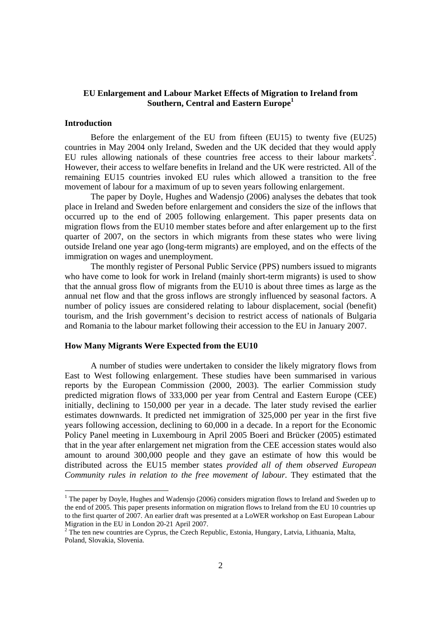# **EU Enlargement and Labour Market Effects of Migration to Ireland from Southern, Central and Eastern Europe<sup>1</sup>**

# **Introduction**

Before the enlargement of the EU from fifteen (EU15) to twenty five (EU25) countries in May 2004 only Ireland, Sweden and the UK decided that they would apply EU rules allowing nationals of these countries free access to their labour markets<sup>2</sup>. However, their access to welfare benefits in Ireland and the UK were restricted. All of the remaining EU15 countries invoked EU rules which allowed a transition to the free movement of labour for a maximum of up to seven years following enlargement.

The paper by Doyle, Hughes and Wadensjo (2006) analyses the debates that took place in Ireland and Sweden before enlargement and considers the size of the inflows that occurred up to the end of 2005 following enlargement. This paper presents data on migration flows from the EU10 member states before and after enlargement up to the first quarter of 2007, on the sectors in which migrants from these states who were living outside Ireland one year ago (long-term migrants) are employed, and on the effects of the immigration on wages and unemployment.

The monthly register of Personal Public Service (PPS) numbers issued to migrants who have come to look for work in Ireland (mainly short-term migrants) is used to show that the annual gross flow of migrants from the EU10 is about three times as large as the annual net flow and that the gross inflows are strongly influenced by seasonal factors. A number of policy issues are considered relating to labour displacement, social (benefit) tourism, and the Irish government's decision to restrict access of nationals of Bulgaria and Romania to the labour market following their accession to the EU in January 2007.

# **How Many Migrants Were Expected from the EU10**

A number of studies were undertaken to consider the likely migratory flows from East to West following enlargement. These studies have been summarised in various reports by the European Commission (2000, 2003). The earlier Commission study predicted migration flows of 333,000 per year from Central and Eastern Europe (CEE) initially, declining to 150,000 per year in a decade. The later study revised the earlier estimates downwards. It predicted net immigration of 325,000 per year in the first five years following accession, declining to 60,000 in a decade. In a report for the Economic Policy Panel meeting in Luxembourg in April 2005 Boeri and Brücker (2005) estimated that in the year after enlargement net migration from the CEE accession states would also amount to around 300,000 people and they gave an estimate of how this would be distributed across the EU15 member states *provided all of them observed European Community rules in relation to the free movement of labour.* They estimated that the

<sup>&</sup>lt;sup>1</sup> The paper by Doyle, Hughes and Wadensjo (2006) considers migration flows to Ireland and Sweden up to the end of 2005. This paper presents information on migration flows to Ireland from the EU 10 countries up to the first quarter of 2007. An earlier draft was presented at a LoWER workshop on East European Labour Migration in the EU in London 20-21 April 2007.

 $2^2$  The ten new countries are Cyprus, the Czech Republic, Estonia, Hungary, Latvia, Lithuania, Malta, Poland, Slovakia, Slovenia.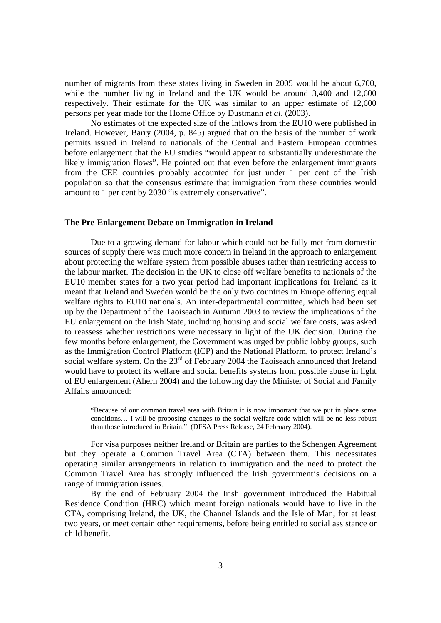number of migrants from these states living in Sweden in 2005 would be about 6,700, while the number living in Ireland and the UK would be around 3,400 and 12,600 respectively. Their estimate for the UK was similar to an upper estimate of 12,600 persons per year made for the Home Office by Dustmann *et al*. (2003).

No estimates of the expected size of the inflows from the EU10 were published in Ireland. However, Barry (2004, p. 845) argued that on the basis of the number of work permits issued in Ireland to nationals of the Central and Eastern European countries before enlargement that the EU studies "would appear to substantially underestimate the likely immigration flows". He pointed out that even before the enlargement immigrants from the CEE countries probably accounted for just under 1 per cent of the Irish population so that the consensus estimate that immigration from these countries would amount to 1 per cent by 2030 "is extremely conservative".

## **The Pre-Enlargement Debate on Immigration in Ireland**

Due to a growing demand for labour which could not be fully met from domestic sources of supply there was much more concern in Ireland in the approach to enlargement about protecting the welfare system from possible abuses rather than restricting access to the labour market. The decision in the UK to close off welfare benefits to nationals of the EU10 member states for a two year period had important implications for Ireland as it meant that Ireland and Sweden would be the only two countries in Europe offering equal welfare rights to EU10 nationals. An inter-departmental committee, which had been set up by the Department of the Taoiseach in Autumn 2003 to review the implications of the EU enlargement on the Irish State, including housing and social welfare costs, was asked to reassess whether restrictions were necessary in light of the UK decision. During the few months before enlargement, the Government was urged by public lobby groups, such as the Immigration Control Platform (ICP) and the National Platform, to protect Ireland's social welfare system. On the 23<sup>rd</sup> of February 2004 the Taoiseach announced that Ireland would have to protect its welfare and social benefits systems from possible abuse in light of EU enlargement (Ahern 2004) and the following day the Minister of Social and Family Affairs announced:

"Because of our common travel area with Britain it is now important that we put in place some conditions… I will be proposing changes to the social welfare code which will be no less robust than those introduced in Britain." (DFSA Press Release, 24 February 2004).

For visa purposes neither Ireland or Britain are parties to the Schengen Agreement but they operate a Common Travel Area (CTA) between them. This necessitates operating similar arrangements in relation to immigration and the need to protect the Common Travel Area has strongly influenced the Irish government's decisions on a range of immigration issues.

By the end of February 2004 the Irish government introduced the Habitual Residence Condition (HRC) which meant foreign nationals would have to live in the CTA, comprising Ireland, the UK, the Channel Islands and the Isle of Man, for at least two years, or meet certain other requirements, before being entitled to social assistance or child benefit.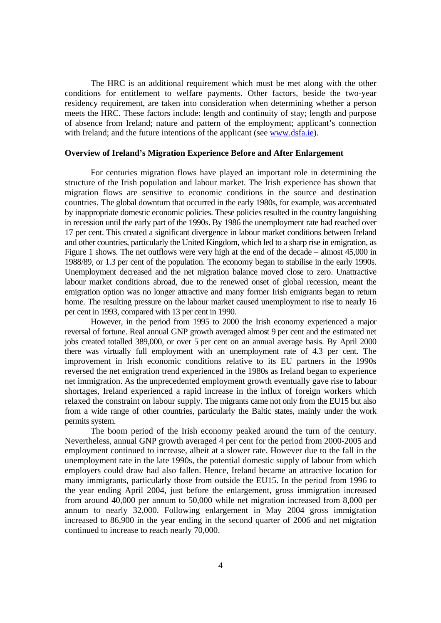The HRC is an additional requirement which must be met along with the other conditions for entitlement to welfare payments. Other factors, beside the two-year residency requirement, are taken into consideration when determining whether a person meets the HRC. These factors include: length and continuity of stay; length and purpose of absence from Ireland; nature and pattern of the employment; applicant's connection with Ireland; and the future intentions of the applicant (see www.dsfa.ie).

#### **Overview of Ireland's Migration Experience Before and After Enlargement**

For centuries migration flows have played an important role in determining the structure of the Irish population and labour market. The Irish experience has shown that migration flows are sensitive to economic conditions in the source and destination countries. The global downturn that occurred in the early 1980s, for example, was accentuated by inappropriate domestic economic policies. These policies resulted in the country languishing in recession until the early part of the 1990s. By 1986 the unemployment rate had reached over 17 per cent. This created a significant divergence in labour market conditions between Ireland and other countries, particularly the United Kingdom, which led to a sharp rise in emigration, as Figure 1 shows. The net outflows were very high at the end of the decade – almost 45,000 in 1988/89, or 1.3 per cent of the population. The economy began to stabilise in the early 1990s. Unemployment decreased and the net migration balance moved close to zero. Unattractive labour market conditions abroad, due to the renewed onset of global recession, meant the emigration option was no longer attractive and many former Irish emigrants began to return home. The resulting pressure on the labour market caused unemployment to rise to nearly 16 per cent in 1993, compared with 13 per cent in 1990.

However, in the period from 1995 to 2000 the Irish economy experienced a major reversal of fortune. Real annual GNP growth averaged almost 9 per cent and the estimated net jobs created totalled 389,000, or over 5 per cent on an annual average basis. By April 2000 there was virtually full employment with an unemployment rate of 4.3 per cent. The improvement in Irish economic conditions relative to its EU partners in the 1990s reversed the net emigration trend experienced in the 1980s as Ireland began to experience net immigration. As the unprecedented employment growth eventually gave rise to labour shortages, Ireland experienced a rapid increase in the influx of foreign workers which relaxed the constraint on labour supply. The migrants came not only from the EU15 but also from a wide range of other countries, particularly the Baltic states, mainly under the work permits system.

The boom period of the Irish economy peaked around the turn of the century. Nevertheless, annual GNP growth averaged 4 per cent for the period from 2000-2005 and employment continued to increase, albeit at a slower rate. However due to the fall in the unemployment rate in the late 1990s, the potential domestic supply of labour from which employers could draw had also fallen. Hence, Ireland became an attractive location for many immigrants, particularly those from outside the EU15. In the period from 1996 to the year ending April 2004, just before the enlargement, gross immigration increased from around 40,000 per annum to 50,000 while net migration increased from 8,000 per annum to nearly 32,000. Following enlargement in May 2004 gross immigration increased to 86,900 in the year ending in the second quarter of 2006 and net migration continued to increase to reach nearly 70,000.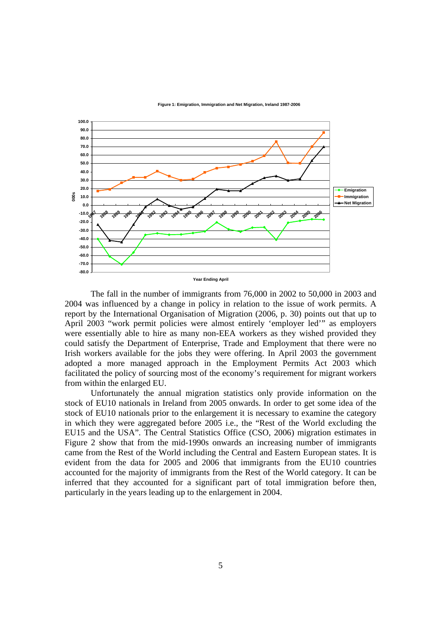



The fall in the number of immigrants from 76,000 in 2002 to 50,000 in 2003 and 2004 was influenced by a change in policy in relation to the issue of work permits. A report by the International Organisation of Migration (2006, p. 30) points out that up to April 2003 "work permit policies were almost entirely 'employer led'" as employers were essentially able to hire as many non-EEA workers as they wished provided they could satisfy the Department of Enterprise, Trade and Employment that there were no Irish workers available for the jobs they were offering. In April 2003 the government adopted a more managed approach in the Employment Permits Act 2003 which facilitated the policy of sourcing most of the economy's requirement for migrant workers from within the enlarged EU.

Unfortunately the annual migration statistics only provide information on the stock of EU10 nationals in Ireland from 2005 onwards. In order to get some idea of the stock of EU10 nationals prior to the enlargement it is necessary to examine the category in which they were aggregated before 2005 i.e., the "Rest of the World excluding the EU15 and the USA". The Central Statistics Office (CSO, 2006) migration estimates in Figure 2 show that from the mid-1990s onwards an increasing number of immigrants came from the Rest of the World including the Central and Eastern European states. It is evident from the data for 2005 and 2006 that immigrants from the EU10 countries accounted for the majority of immigrants from the Rest of the World category. It can be inferred that they accounted for a significant part of total immigration before then, particularly in the years leading up to the enlargement in 2004.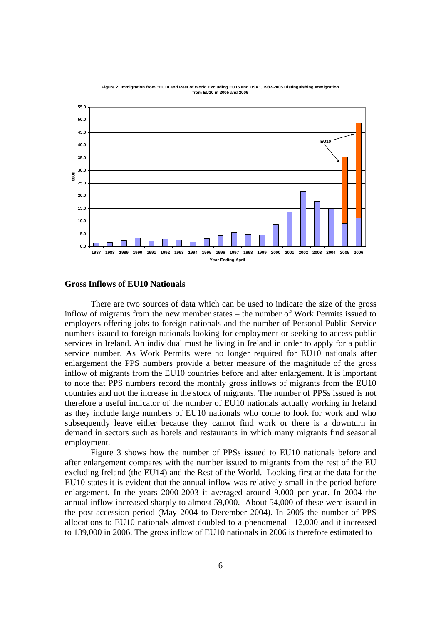

**Figure 2: Immigration from "EU10 and Rest of World Excluding EU15 and USA", 1987-2005 Distinguishing Immigration from EU10 in 2005 and 2006**

## **Gross Inflows of EU10 Nationals**

There are two sources of data which can be used to indicate the size of the gross inflow of migrants from the new member states – the number of Work Permits issued to employers offering jobs to foreign nationals and the number of Personal Public Service numbers issued to foreign nationals looking for employment or seeking to access public services in Ireland. An individual must be living in Ireland in order to apply for a public service number. As Work Permits were no longer required for EU10 nationals after enlargement the PPS numbers provide a better measure of the magnitude of the gross inflow of migrants from the EU10 countries before and after enlargement. It is important to note that PPS numbers record the monthly gross inflows of migrants from the EU10 countries and not the increase in the stock of migrants. The number of PPSs issued is not therefore a useful indicator of the number of EU10 nationals actually working in Ireland as they include large numbers of EU10 nationals who come to look for work and who subsequently leave either because they cannot find work or there is a downturn in demand in sectors such as hotels and restaurants in which many migrants find seasonal employment.

Figure 3 shows how the number of PPSs issued to EU10 nationals before and after enlargement compares with the number issued to migrants from the rest of the EU excluding Ireland (the EU14) and the Rest of the World. Looking first at the data for the EU10 states it is evident that the annual inflow was relatively small in the period before enlargement. In the years 2000-2003 it averaged around 9,000 per year. In 2004 the annual inflow increased sharply to almost 59,000. About 54,000 of these were issued in the post-accession period (May 2004 to December 2004). In 2005 the number of PPS allocations to EU10 nationals almost doubled to a phenomenal 112,000 and it increased to 139,000 in 2006. The gross inflow of EU10 nationals in 2006 is therefore estimated to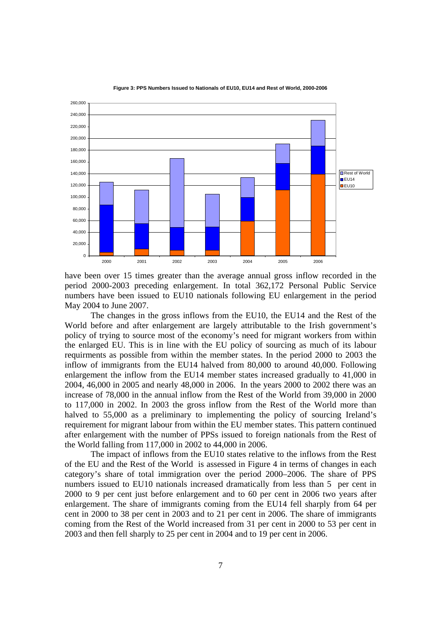

**Figure 3: PPS Numbers Issued to Nationals of EU10, EU14 and Rest of World, 2000-2006**

have been over 15 times greater than the average annual gross inflow recorded in the period 2000-2003 preceding enlargement. In total 362,172 Personal Public Service numbers have been issued to EU10 nationals following EU enlargement in the period May 2004 to June 2007.

The changes in the gross inflows from the EU10, the EU14 and the Rest of the World before and after enlargement are largely attributable to the Irish government's policy of trying to source most of the economy's need for migrant workers from within the enlarged EU. This is in line with the EU policy of sourcing as much of its labour requirments as possible from within the member states. In the period 2000 to 2003 the inflow of immigrants from the EU14 halved from 80,000 to around 40,000. Following enlargement the inflow from the EU14 member states increased gradually to 41,000 in 2004, 46,000 in 2005 and nearly 48,000 in 2006. In the years 2000 to 2002 there was an increase of 78,000 in the annual inflow from the Rest of the World from 39,000 in 2000 to 117,000 in 2002. In 2003 the gross inflow from the Rest of the World more than halved to 55,000 as a preliminary to implementing the policy of sourcing Ireland's requirement for migrant labour from within the EU member states. This pattern continued after enlargement with the number of PPSs issued to foreign nationals from the Rest of the World falling from 117,000 in 2002 to 44,000 in 2006.

The impact of inflows from the EU10 states relative to the inflows from the Rest of the EU and the Rest of the World is assessed in Figure 4 in terms of changes in each category's share of total immigration over the period 2000–2006. The share of PPS numbers issued to EU10 nationals increased dramatically from less than 5 per cent in 2000 to 9 per cent just before enlargement and to 60 per cent in 2006 two years after enlargement. The share of immigrants coming from the EU14 fell sharply from 64 per cent in 2000 to 38 per cent in 2003 and to 21 per cent in 2006. The share of immigrants coming from the Rest of the World increased from 31 per cent in 2000 to 53 per cent in 2003 and then fell sharply to 25 per cent in 2004 and to 19 per cent in 2006.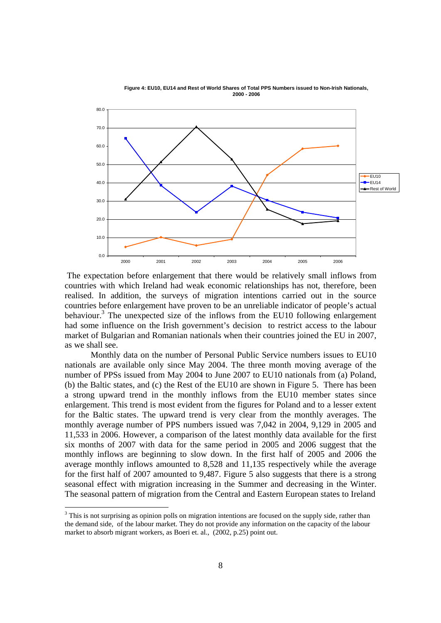

**Figure 4: EU10, EU14 and Rest of World Shares of Total PPS Numbers issued to Non-Irish Nationals, 2000 - 2006**

 The expectation before enlargement that there would be relatively small inflows from countries with which Ireland had weak economic relationships has not, therefore, been realised. In addition, the surveys of migration intentions carried out in the source countries before enlargement have proven to be an unreliable indicator of people's actual behaviour.<sup>3</sup> The unexpected size of the inflows from the EU10 following enlargement had some influence on the Irish government's decision to restrict access to the labour market of Bulgarian and Romanian nationals when their countries joined the EU in 2007, as we shall see.

Monthly data on the number of Personal Public Service numbers issues to EU10 nationals are available only since May 2004. The three month moving average of the number of PPSs issued from May 2004 to June 2007 to EU10 nationals from (a) Poland, (b) the Baltic states, and (c) the Rest of the EU10 are shown in Figure 5. There has been a strong upward trend in the monthly inflows from the EU10 member states since enlargement. This trend is most evident from the figures for Poland and to a lesser extent for the Baltic states. The upward trend is very clear from the monthly averages. The monthly average number of PPS numbers issued was 7,042 in 2004, 9,129 in 2005 and 11,533 in 2006. However, a comparison of the latest monthly data available for the first six months of 2007 with data for the same period in 2005 and 2006 suggest that the monthly inflows are beginning to slow down. In the first half of 2005 and 2006 the average monthly inflows amounted to 8,528 and 11,135 respectively while the average for the first half of 2007 amounted to 9,487. Figure 5 also suggests that there is a strong seasonal effect with migration increasing in the Summer and decreasing in the Winter. The seasonal pattern of migration from the Central and Eastern European states to Ireland

<sup>&</sup>lt;sup>3</sup> This is not surprising as opinion polls on migration intentions are focused on the supply side, rather than the demand side, of the labour market. They do not provide any information on the capacity of the labour market to absorb migrant workers, as Boeri et. al., (2002, p.25) point out.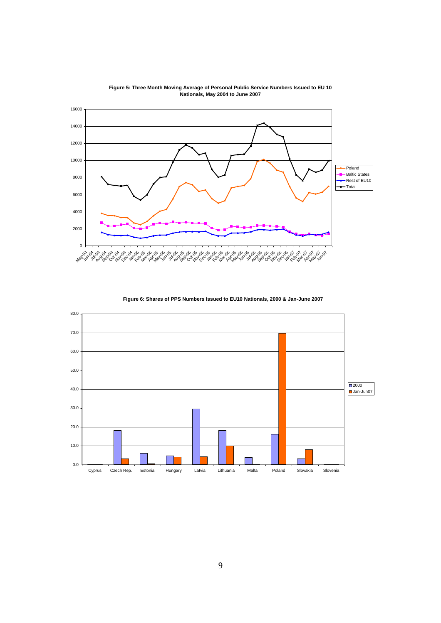

**Figure 5: Three Month Moving Average of Personal Public Service Numbers Issued to EU 10 Nationals, May 2004 to June 2007**

**Figure 6: Shares of PPS Numbers Issued to EU10 Nationals, 2000 & Jan-June 2007**

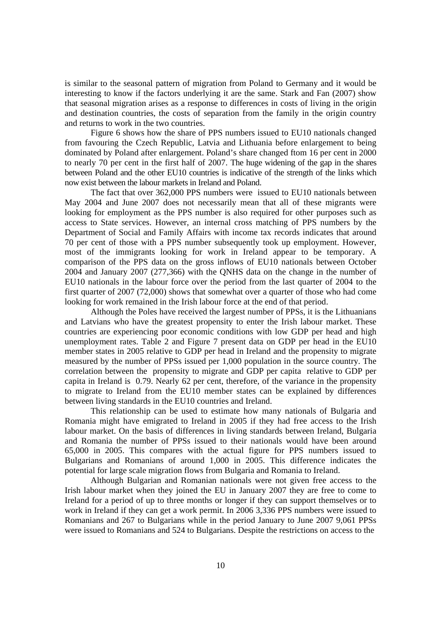is similar to the seasonal pattern of migration from Poland to Germany and it would be interesting to know if the factors underlying it are the same. Stark and Fan (2007) show that seasonal migration arises as a response to differences in costs of living in the origin and destination countries, the costs of separation from the family in the origin country and returns to work in the two countries.

Figure 6 shows how the share of PPS numbers issued to EU10 nationals changed from favouring the Czech Republic, Latvia and Lithuania before enlargement to being dominated by Poland after enlargement. Poland's share changed ftom 16 per cent in 2000 to nearly 70 per cent in the first half of 2007. The huge widening of the gap in the shares between Poland and the other EU10 countries is indicative of the strength of the links which now exist between the labour markets in Ireland and Poland.

The fact that over 362,000 PPS numbers were issued to EU10 nationals between May 2004 and June 2007 does not necessarily mean that all of these migrants were looking for employment as the PPS number is also required for other purposes such as access to State services. However, an internal cross matching of PPS numbers by the Department of Social and Family Affairs with income tax records indicates that around 70 per cent of those with a PPS number subsequently took up employment. However, most of the immigrants looking for work in Ireland appear to be temporary. A comparison of the PPS data on the gross inflows of EU10 nationals between October 2004 and January 2007 (277,366) with the QNHS data on the change in the number of EU10 nationals in the labour force over the period from the last quarter of 2004 to the first quarter of 2007 (72,000) shows that somewhat over a quarter of those who had come looking for work remained in the Irish labour force at the end of that period.

Although the Poles have received the largest number of PPSs, it is the Lithuanians and Latvians who have the greatest propensity to enter the Irish labour market. These countries are experiencing poor economic conditions with low GDP per head and high unemployment rates. Table 2 and Figure 7 present data on GDP per head in the EU10 member states in 2005 relative to GDP per head in Ireland and the propensity to migrate measured by the number of PPSs issued per 1,000 population in the source country. The correlation between the propensity to migrate and GDP per capita relative to GDP per capita in Ireland is 0.79. Nearly 62 per cent, therefore, of the variance in the propensity to migrate to Ireland from the EU10 member states can be explained by differences between living standards in the EU10 countries and Ireland.

This relationship can be used to estimate how many nationals of Bulgaria and Romania might have emigrated to Ireland in 2005 if they had free access to the Irish labour market. On the basis of differences in living standards between Ireland, Bulgaria and Romania the number of PPSs issued to their nationals would have been around 65,000 in 2005. This compares with the actual figure for PPS numbers issued to Bulgarians and Romanians of around 1,000 in 2005. This difference indicates the potential for large scale migration flows from Bulgaria and Romania to Ireland.

Although Bulgarian and Romanian nationals were not given free access to the Irish labour market when they joined the EU in January 2007 they are free to come to Ireland for a period of up to three months or longer if they can support themselves or to work in Ireland if they can get a work permit. In 2006 3,336 PPS numbers were issued to Romanians and 267 to Bulgarians while in the period January to June 2007 9,061 PPSs were issued to Romanians and 524 to Bulgarians. Despite the restrictions on access to the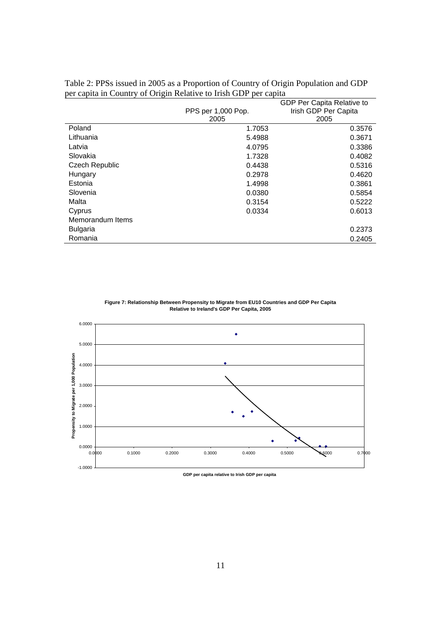|                       |                    | GDP Per Capita Relative to |
|-----------------------|--------------------|----------------------------|
|                       | PPS per 1,000 Pop. | Irish GDP Per Capita       |
|                       | 2005               | 2005                       |
| Poland                | 1.7053             | 0.3576                     |
| Lithuania             | 5.4988             | 0.3671                     |
| Latvia                | 4.0795             | 0.3386                     |
| Slovakia              | 1.7328             | 0.4082                     |
| <b>Czech Republic</b> | 0.4438             | 0.5316                     |
| Hungary               | 0.2978             | 0.4620                     |
| Estonia               | 1.4998             | 0.3861                     |
| Slovenia              | 0.0380             | 0.5854                     |
| Malta                 | 0.3154             | 0.5222                     |
| Cyprus                | 0.0334             | 0.6013                     |
| Memorandum Items      |                    |                            |
| Bulgaria              |                    | 0.2373                     |
| Romania               |                    | 0.2405                     |

Table 2: PPSs issued in 2005 as a Proportion of Country of Origin Population and GDP per capita in Country of Origin Relative to Irish GDP per capita

> **Figure 7: Relationship Between Propensity to Migrate from EU10 Countries and GDP Per Capita Relative to Ireland's GDP Per Capita, 2005**



**GDP per capita relative to Irish GDP per capita**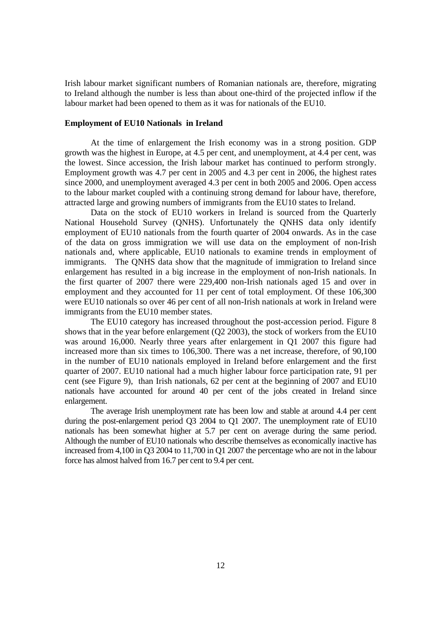Irish labour market significant numbers of Romanian nationals are, therefore, migrating to Ireland although the number is less than about one-third of the projected inflow if the labour market had been opened to them as it was for nationals of the EU10.

#### **Employment of EU10 Nationals in Ireland**

At the time of enlargement the Irish economy was in a strong position. GDP growth was the highest in Europe, at 4.5 per cent, and unemployment, at 4.4 per cent, was the lowest. Since accession, the Irish labour market has continued to perform strongly. Employment growth was 4.7 per cent in 2005 and 4.3 per cent in 2006, the highest rates since 2000, and unemployment averaged 4.3 per cent in both 2005 and 2006. Open access to the labour market coupled with a continuing strong demand for labour have, therefore, attracted large and growing numbers of immigrants from the EU10 states to Ireland.

Data on the stock of EU10 workers in Ireland is sourced from the Quarterly National Household Survey (QNHS). Unfortunately the QNHS data only identify employment of EU10 nationals from the fourth quarter of 2004 onwards. As in the case of the data on gross immigration we will use data on the employment of non-Irish nationals and, where applicable, EU10 nationals to examine trends in employment of immigrants. The QNHS data show that the magnitude of immigration to Ireland since enlargement has resulted in a big increase in the employment of non-Irish nationals. In the first quarter of 2007 there were 229,400 non-Irish nationals aged 15 and over in employment and they accounted for 11 per cent of total employment. Of these 106,300 were EU10 nationals so over 46 per cent of all non-Irish nationals at work in Ireland were immigrants from the EU10 member states.

The EU10 category has increased throughout the post-accession period. Figure 8 shows that in the year before enlargement (Q2 2003), the stock of workers from the EU10 was around 16,000. Nearly three years after enlargement in Q1 2007 this figure had increased more than six times to 106,300. There was a net increase, therefore, of 90,100 in the number of EU10 nationals employed in Ireland before enlargement and the first quarter of 2007. EU10 national had a much higher labour force participation rate, 91 per cent (see Figure 9), than Irish nationals, 62 per cent at the beginning of 2007 and EU10 nationals have accounted for around 40 per cent of the jobs created in Ireland since enlargement.

The average Irish unemployment rate has been low and stable at around 4.4 per cent during the post-enlargement period Q3 2004 to Q1 2007. The unemployment rate of EU10 nationals has been somewhat higher at 5.7 per cent on average during the same period. Although the number of EU10 nationals who describe themselves as economically inactive has increased from 4,100 in Q3 2004 to 11,700 in Q1 2007 the percentage who are not in the labour force has almost halved from 16.7 per cent to 9.4 per cent.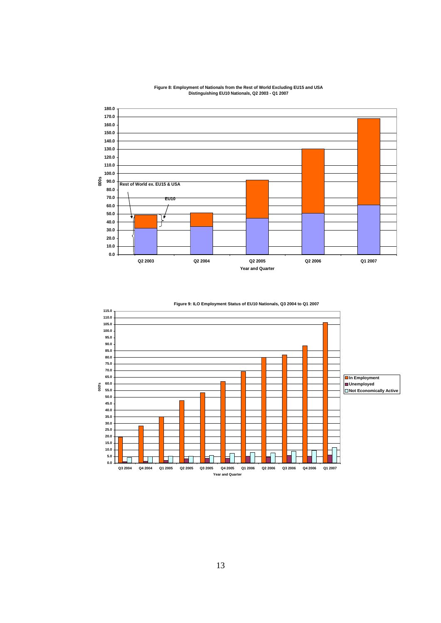

**Figure 8: Employment of Nationals from the Rest of World Excluding EU15 and USA Distinguishing EU10 Nationals, Q2 2003 - Q1 2007**

**Figure 9: ILO Employment Status of EU10 Nationals, Q3 2004 to Q1 2007**

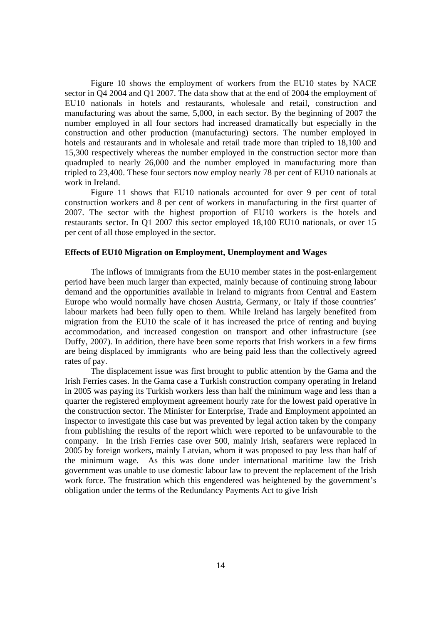Figure 10 shows the employment of workers from the EU10 states by NACE sector in Q4 2004 and Q1 2007. The data show that at the end of 2004 the employment of EU10 nationals in hotels and restaurants, wholesale and retail, construction and manufacturing was about the same, 5,000, in each sector. By the beginning of 2007 the number employed in all four sectors had increased dramatically but especially in the construction and other production (manufacturing) sectors. The number employed in hotels and restaurants and in wholesale and retail trade more than tripled to 18,100 and 15,300 respectively whereas the number employed in the construction sector more than quadrupled to nearly 26,000 and the number employed in manufacturing more than tripled to 23,400. These four sectors now employ nearly 78 per cent of EU10 nationals at work in Ireland.

Figure 11 shows that EU10 nationals accounted for over 9 per cent of total construction workers and 8 per cent of workers in manufacturing in the first quarter of 2007. The sector with the highest proportion of EU10 workers is the hotels and restaurants sector. In Q1 2007 this sector employed 18,100 EU10 nationals, or over 15 per cent of all those employed in the sector.

## **Effects of EU10 Migration on Employment, Unemployment and Wages**

The inflows of immigrants from the EU10 member states in the post-enlargement period have been much larger than expected, mainly because of continuing strong labour demand and the opportunities available in Ireland to migrants from Central and Eastern Europe who would normally have chosen Austria, Germany, or Italy if those countries' labour markets had been fully open to them. While Ireland has largely benefited from migration from the EU10 the scale of it has increased the price of renting and buying accommodation, and increased congestion on transport and other infrastructure (see Duffy, 2007). In addition, there have been some reports that Irish workers in a few firms are being displaced by immigrants who are being paid less than the collectively agreed rates of pay.

The displacement issue was first brought to public attention by the Gama and the Irish Ferries cases. In the Gama case a Turkish construction company operating in Ireland in 2005 was paying its Turkish workers less than half the minimum wage and less than a quarter the registered employment agreement hourly rate for the lowest paid operative in the construction sector. The Minister for Enterprise, Trade and Employment appointed an inspector to investigate this case but was prevented by legal action taken by the company from publishing the results of the report which were reported to be unfavourable to the company. In the Irish Ferries case over 500, mainly Irish, seafarers were replaced in 2005 by foreign workers, mainly Latvian, whom it was proposed to pay less than half of the minimum wage. As this was done under international maritime law the Irish government was unable to use domestic labour law to prevent the replacement of the Irish work force. The frustration which this engendered was heightened by the government's obligation under the terms of the Redundancy Payments Act to give Irish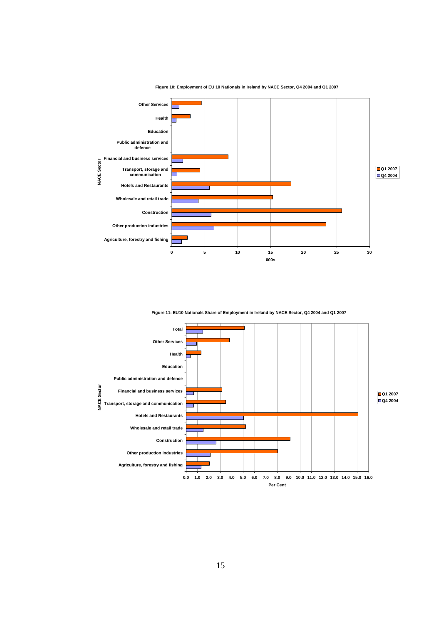

 **Figure 10: Employment of EU 10 Nationals in Ireland by NACE Sector, Q4 2004 and Q1 2007**

**Figure 11: EU10 Nationals Share of Employment in Ireland by NACE Sector, Q4 2004 and Q1 2007**

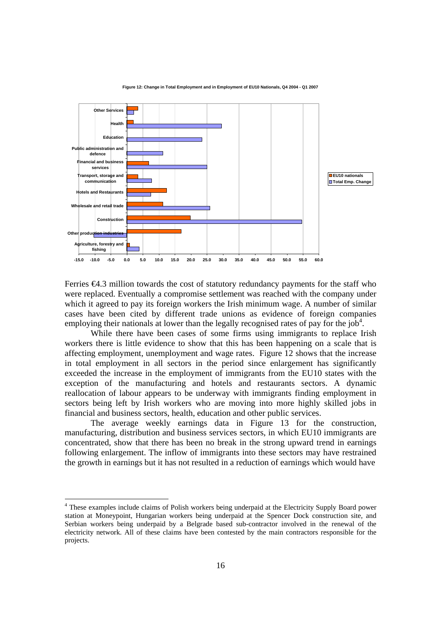![](_page_16_Figure_0.jpeg)

**Figure 12: Change in Total Employment and in Employment of EU10 Nationals, Q4 2004 - Q1 2007**

Ferries €4.3 million towards the cost of statutory redundancy payments for the staff who were replaced. Eventually a compromise settlement was reached with the company under which it agreed to pay its foreign workers the Irish minimum wage. A number of similar cases have been cited by different trade unions as evidence of foreign companies employing their nationals at lower than the legally recognised rates of pay for the job<sup>4</sup>.

While there have been cases of some firms using immigrants to replace Irish workers there is little evidence to show that this has been happening on a scale that is affecting employment, unemployment and wage rates. Figure 12 shows that the increase in total employment in all sectors in the period since enlargement has significantly exceeded the increase in the employment of immigrants from the EU10 states with the exception of the manufacturing and hotels and restaurants sectors. A dynamic reallocation of labour appears to be underway with immigrants finding employment in sectors being left by Irish workers who are moving into more highly skilled jobs in financial and business sectors, health, education and other public services.

 The average weekly earnings data in Figure 13 for the construction, manufacturing, distribution and business services sectors, in which EU10 immigrants are concentrated, show that there has been no break in the strong upward trend in earnings following enlargement. The inflow of immigrants into these sectors may have restrained the growth in earnings but it has not resulted in a reduction of earnings which would have

<sup>&</sup>lt;sup>4</sup> These examples include claims of Polish workers being underpaid at the Electricity Supply Board power station at Moneypoint, Hungarian workers being underpaid at the Spencer Dock construction site, and Serbian workers being underpaid by a Belgrade based sub-contractor involved in the renewal of the electricity network. All of these claims have been contested by the main contractors responsible for the projects.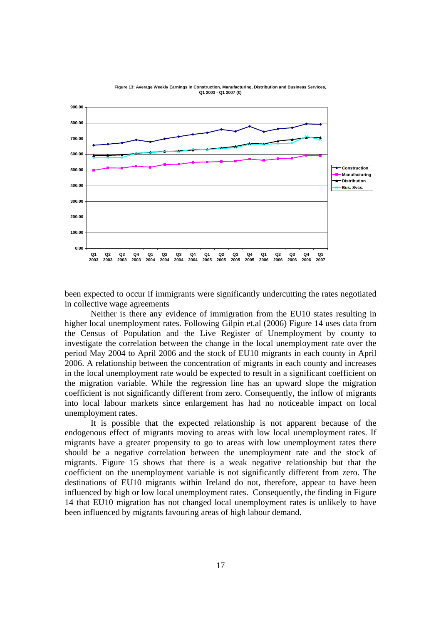![](_page_17_Figure_0.jpeg)

**Figure 13: Average Weekly Earnings in Construction, Manufacturing, Distribution and Business Services, Q1 2003 - Q1 2007 (€)**

been expected to occur if immigrants were significantly undercutting the rates negotiated in collective wage agreements

 Neither is there any evidence of immigration from the EU10 states resulting in higher local unemployment rates. Following Gilpin et.al (2006) Figure 14 uses data from the Census of Population and the Live Register of Unemployment by county to investigate the correlation between the change in the local unemployment rate over the period May 2004 to April 2006 and the stock of EU10 migrants in each county in April 2006. A relationship between the concentration of migrants in each county and increases in the local unemployment rate would be expected to result in a significant coefficient on the migration variable. While the regression line has an upward slope the migration coefficient is not significantly different from zero. Consequently, the inflow of migrants into local labour markets since enlargement has had no noticeable impact on local unemployment rates.

It is possible that the expected relationship is not apparent because of the endogenous effect of migrants moving to areas with low local unemployment rates. If migrants have a greater propensity to go to areas with low unemployment rates there should be a negative correlation between the unemployment rate and the stock of migrants. Figure 15 shows that there is a weak negative relationship but that the coefficient on the unemployment variable is not significantly different from zero. The destinations of EU10 migrants within Ireland do not, therefore, appear to have been influenced by high or low local unemployment rates. Consequently, the finding in Figure 14 that EU10 migration has not changed local unemployment rates is unlikely to have been influenced by migrants favouring areas of high labour demand.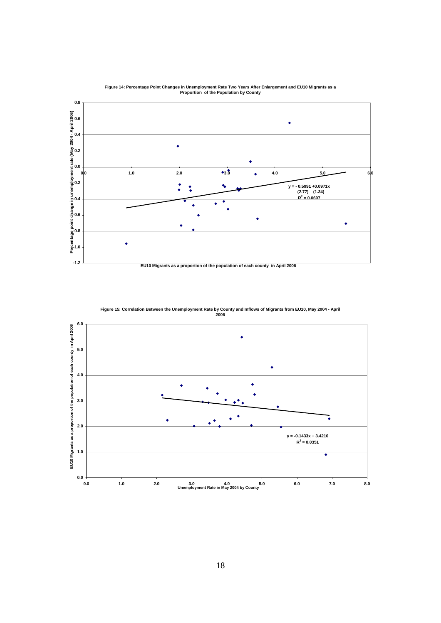![](_page_18_Figure_0.jpeg)

**Figure 14: Percentage Point Changes in Unemployment Rate Two Years After Enlargement and EU10 Migrants as a Proportion of the Population by County**

![](_page_18_Figure_3.jpeg)

**Figure 15: Correlation Between the Unemployment Rate by County and Inflows of Migrants from EU10, May 2004 - April 2006**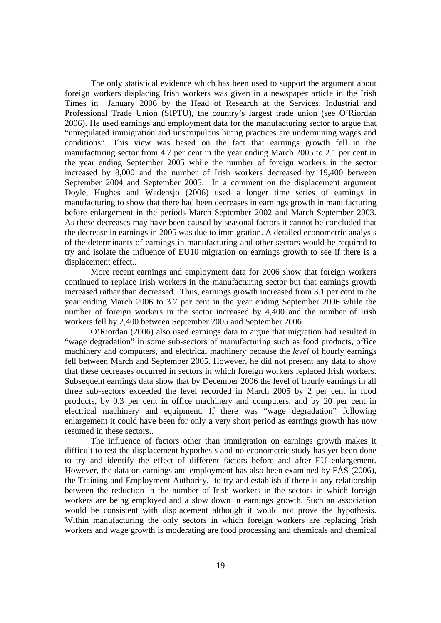The only statistical evidence which has been used to support the argument about foreign workers displacing Irish workers was given in a newspaper article in the Irish Times in January 2006 by the Head of Research at the Services, Industrial and Professional Trade Union (SIPTU), the country's largest trade union (see O'Riordan 2006). He used earnings and employment data for the manufacturing sector to argue that "unregulated immigration and unscrupulous hiring practices are undermining wages and conditions". This view was based on the fact that earnings growth fell in the manufacturing sector from 4.7 per cent in the year ending March 2005 to 2.1 per cent in the year ending September 2005 while the number of foreign workers in the sector increased by 8,000 and the number of Irish workers decreased by 19,400 between September 2004 and September 2005. In a comment on the displacement argument Doyle, Hughes and Wadensjo (2006) used a longer time series of earnings in manufacturing to show that there had been decreases in earnings growth in manufacturing before enlargement in the periods March-September 2002 and March-September 2003. As these decreases may have been caused by seasonal factors it cannot be concluded that the decrease in earnings in 2005 was due to immigration. A detailed econometric analysis of the determinants of earnings in manufacturing and other sectors would be required to try and isolate the influence of EU10 migration on earnings growth to see if there is a displacement effect..

More recent earnings and employment data for 2006 show that foreign workers continued to replace Irish workers in the manufacturing sector but that earnings growth increased rather than decreased. Thus, earnings growth increased from 3.1 per cent in the year ending March 2006 to 3.7 per cent in the year ending September 2006 while the number of foreign workers in the sector increased by 4,400 and the number of Irish workers fell by 2,400 between September 2005 and September 2006

O'Riordan (2006) also used earnings data to argue that migration had resulted in "wage degradation" in some sub-sectors of manufacturing such as food products, office machinery and computers, and electrical machinery because the *level* of hourly earnings fell between March and September 2005. However, he did not present any data to show that these decreases occurred in sectors in which foreign workers replaced Irish workers. Subsequent earnings data show that by December 2006 the level of hourly earnings in all three sub-sectors exceeded the level recorded in March 2005 by 2 per cent in food products, by 0.3 per cent in office machinery and computers, and by 20 per cent in electrical machinery and equipment. If there was "wage degradation" following enlargement it could have been for only a very short period as earnings growth has now resumed in these sectors..

The influence of factors other than immigration on earnings growth makes it difficult to test the displacement hypothesis and no econometric study has yet been done to try and identify the effect of different factors before and after EU enlargement. However, the data on earnings and employment has also been examined by FÁS (2006), the Training and Employment Authority, to try and establish if there is any relationship between the reduction in the number of Irish workers in the sectors in which foreign workers are being employed and a slow down in earnings growth. Such an association would be consistent with displacement although it would not prove the hypothesis. Within manufacturing the only sectors in which foreign workers are replacing Irish workers and wage growth is moderating are food processing and chemicals and chemical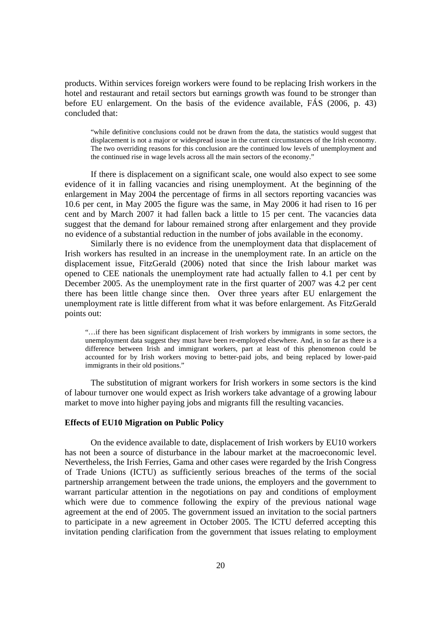products. Within services foreign workers were found to be replacing Irish workers in the hotel and restaurant and retail sectors but earnings growth was found to be stronger than before EU enlargement. On the basis of the evidence available, FÁS (2006, p. 43) concluded that:

"while definitive conclusions could not be drawn from the data, the statistics would suggest that displacement is not a major or widespread issue in the current circumstances of the Irish economy. The two overriding reasons for this conclusion are the continued low levels of unemployment and the continued rise in wage levels across all the main sectors of the economy."

If there is displacement on a significant scale, one would also expect to see some evidence of it in falling vacancies and rising unemployment. At the beginning of the enlargement in May 2004 the percentage of firms in all sectors reporting vacancies was 10.6 per cent, in May 2005 the figure was the same, in May 2006 it had risen to 16 per cent and by March 2007 it had fallen back a little to 15 per cent. The vacancies data suggest that the demand for labour remained strong after enlargement and they provide no evidence of a substantial reduction in the number of jobs available in the economy.

Similarly there is no evidence from the unemployment data that displacement of Irish workers has resulted in an increase in the unemployment rate. In an article on the displacement issue, FitzGerald (2006) noted that since the Irish labour market was opened to CEE nationals the unemployment rate had actually fallen to 4.1 per cent by December 2005. As the unemployment rate in the first quarter of 2007 was 4.2 per cent there has been little change since then. Over three years after EU enlargement the unemployment rate is little different from what it was before enlargement. As FitzGerald points out:

"…if there has been significant displacement of Irish workers by immigrants in some sectors, the unemployment data suggest they must have been re-employed elsewhere. And, in so far as there is a difference between Irish and immigrant workers, part at least of this phenomenon could be accounted for by Irish workers moving to better-paid jobs, and being replaced by lower-paid immigrants in their old positions."

The substitution of migrant workers for Irish workers in some sectors is the kind of labour turnover one would expect as Irish workers take advantage of a growing labour market to move into higher paying jobs and migrants fill the resulting vacancies.

#### **Effects of EU10 Migration on Public Policy**

On the evidence available to date, displacement of Irish workers by EU10 workers has not been a source of disturbance in the labour market at the macroeconomic level. Nevertheless, the Irish Ferries, Gama and other cases were regarded by the Irish Congress of Trade Unions (ICTU) as sufficiently serious breaches of the terms of the social partnership arrangement between the trade unions, the employers and the government to warrant particular attention in the negotiations on pay and conditions of employment which were due to commence following the expiry of the previous national wage agreement at the end of 2005. The government issued an invitation to the social partners to participate in a new agreement in October 2005. The ICTU deferred accepting this invitation pending clarification from the government that issues relating to employment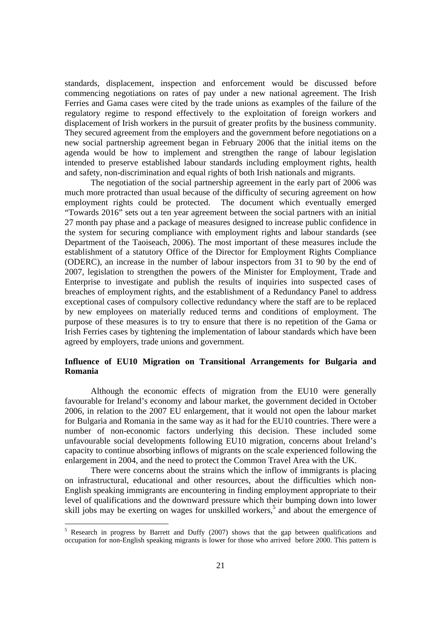standards, displacement, inspection and enforcement would be discussed before commencing negotiations on rates of pay under a new national agreement. The Irish Ferries and Gama cases were cited by the trade unions as examples of the failure of the regulatory regime to respond effectively to the exploitation of foreign workers and displacement of Irish workers in the pursuit of greater profits by the business community. They secured agreement from the employers and the government before negotiations on a new social partnership agreement began in February 2006 that the initial items on the agenda would be how to implement and strengthen the range of labour legislation intended to preserve established labour standards including employment rights, health and safety, non-discrimination and equal rights of both Irish nationals and migrants.

The negotiation of the social partnership agreement in the early part of 2006 was much more protracted than usual because of the difficulty of securing agreement on how employment rights could be protected. The document which eventually emerged "Towards 2016" sets out a ten year agreement between the social partners with an initial 27 month pay phase and a package of measures designed to increase public confidence in the system for securing compliance with employment rights and labour standards (see Department of the Taoiseach, 2006). The most important of these measures include the establishment of a statutory Office of the Director for Employment Rights Compliance (ODERC), an increase in the number of labour inspectors from 31 to 90 by the end of 2007, legislation to strengthen the powers of the Minister for Employment, Trade and Enterprise to investigate and publish the results of inquiries into suspected cases of breaches of employment rights, and the establishment of a Redundancy Panel to address exceptional cases of compulsory collective redundancy where the staff are to be replaced by new employees on materially reduced terms and conditions of employment. The purpose of these measures is to try to ensure that there is no repetition of the Gama or Irish Ferries cases by tightening the implementation of labour standards which have been agreed by employers, trade unions and government.

# **Influence of EU10 Migration on Transitional Arrangements for Bulgaria and Romania**

Although the economic effects of migration from the EU10 were generally favourable for Ireland's economy and labour market, the government decided in October 2006, in relation to the 2007 EU enlargement, that it would not open the labour market for Bulgaria and Romania in the same way as it had for the EU10 countries. There were a number of non-economic factors underlying this decision. These included some unfavourable social developments following EU10 migration, concerns about Ireland's capacity to continue absorbing inflows of migrants on the scale experienced following the enlargement in 2004, and the need to protect the Common Travel Area with the UK.

There were concerns about the strains which the inflow of immigrants is placing on infrastructural, educational and other resources, about the difficulties which non-English speaking immigrants are encountering in finding employment appropriate to their level of qualifications and the downward pressure which their bumping down into lower skill jobs may be exerting on wages for unskilled workers,<sup>5</sup> and about the emergence of

<sup>&</sup>lt;sup>5</sup> Research in progress by Barrett and Duffy (2007) shows that the gap between qualifications and occupation for non-English speaking migrants is lower for those who arrived before 2000. This pattern is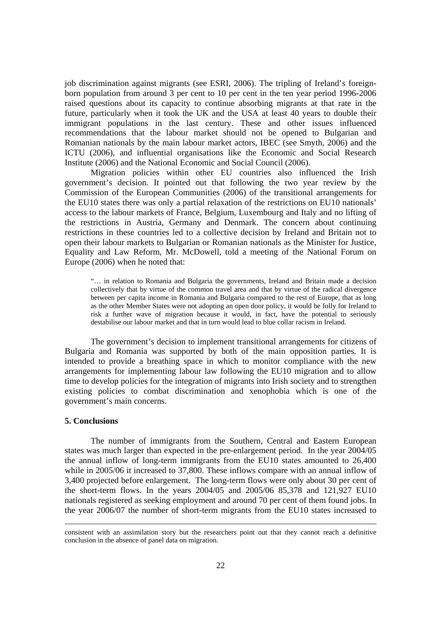job discrimination against migrants (see ESRI, 2006). The tripling of Ireland's foreignborn population from around 3 per cent to 10 per cent in the ten year period 1996-2006 raised questions about its capacity to continue absorbing migrants at that rate in the future, particularly when it took the UK and the USA at least 40 years to double their immigrant populations in the last century. These and other issues influenced recommendations that the labour market should not be opened to Bulgarian and Romanian nationals by the main labour market actors, IBEC (see Smyth, 2006) and the ICTU (2006), and influential organisations like the Economic and Social Research Institute (2006) and the National Economic and Social Council (2006).

Migration policies within other EU countries also influenced the Irish government's decision. It pointed out that following the two year review by the Commission of the European Communities (2006) of the transitional arrangements for the EU10 states there was only a partial relaxation of the restrictions on EU10 nationals' access to the labour markets of France, Belgium, Luxembourg and Italy and no lifting of the restrictions in Austria, Germany and Denmark. The concern about continuing restrictions in these countries led to a collective decision by Ireland and Britain not to open their labour markets to Bulgarian or Romanian nationals as the Minister for Justice, Equality and Law Reform, Mr. McDowell, told a meeting of the National Forum on Europe (2006) when he noted that:

"… in relation to Romania and Bulgaria the governments, Ireland and Britain made a decision collectively that by virtue of the common travel area and that by virtue of the radical divergence between per capita income in Romania and Bulgaria compared to the rest of Europe, that as long as the other Member States were not adopting an open door policy, it would be folly for Ireland to risk a further wave of migration because it would, in fact, have the potential to seriously destabilise our labour market and that in turn would lead to blue collar racism in Ireland.

The government's decision to implement transitional arrangements for citizens of Bulgaria and Romania was supported by both of the main opposition parties. It is intended to provide a breathing space in which to monitor compliance with the new arrangements for implementing labour law following the EU10 migration and to allow time to develop policies for the integration of migrants into Irish society and to strengthen existing policies to combat discrimination and xenophobia which is one of the government's main concerns.

#### **5. Conclusions**

The number of immigrants from the Southern, Central and Eastern European states was much larger than expected in the pre-enlargement period. In the year 2004/05 the annual inflow of long-term immigrants from the EU10 states amounted to 26,400 while in 2005/06 it increased to 37,800. These inflows compare with an annual inflow of 3,400 projected before enlargement. The long-term flows were only about 30 per cent of the short-term flows. In the years 2004/05 and 2005/06 85,378 and 121,927 EU10 nationals registered as seeking employment and around 70 per cent of them found jobs. In the year 2006/07 the number of short-term migrants from the EU10 states increased to

consistent with an assimilation story but the researchers point out that they cannot reach a definitive conclusion in the absence of panel data on migration.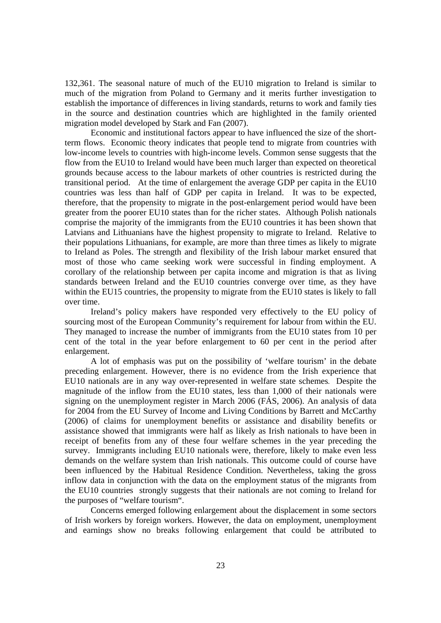132,361. The seasonal nature of much of the EU10 migration to Ireland is similar to much of the migration from Poland to Germany and it merits further investigation to establish the importance of differences in living standards, returns to work and family ties in the source and destination countries which are highlighted in the family oriented migration model developed by Stark and Fan (2007).

 Economic and institutional factors appear to have influenced the size of the shortterm flows. Economic theory indicates that people tend to migrate from countries with low-income levels to countries with high-income levels. Common sense suggests that the flow from the EU10 to Ireland would have been much larger than expected on theoretical grounds because access to the labour markets of other countries is restricted during the transitional period. At the time of enlargement the average GDP per capita in the EU10 countries was less than half of GDP per capita in Ireland. It was to be expected, therefore, that the propensity to migrate in the post-enlargement period would have been greater from the poorer EU10 states than for the richer states. Although Polish nationals comprise the majority of the immigrants from the EU10 countries it has been shown that Latvians and Lithuanians have the highest propensity to migrate to Ireland. Relative to their populations Lithuanians, for example, are more than three times as likely to migrate to Ireland as Poles. The strength and flexibility of the Irish labour market ensured that most of those who came seeking work were successful in finding employment. A corollary of the relationship between per capita income and migration is that as living standards between Ireland and the EU10 countries converge over time, as they have within the EU15 countries, the propensity to migrate from the EU10 states is likely to fall over time.

Ireland's policy makers have responded very effectively to the EU policy of sourcing most of the European Community's requirement for labour from within the EU. They managed to increase the number of immigrants from the EU10 states from 10 per cent of the total in the year before enlargement to 60 per cent in the period after enlargement.

A lot of emphasis was put on the possibility of 'welfare tourism' in the debate preceding enlargement. However, there is no evidence from the Irish experience that EU10 nationals are in any way over-represented in welfare state schemes. Despite the magnitude of the inflow from the EU10 states, less than 1,000 of their nationals were signing on the unemployment register in March 2006 (FÁS, 2006). An analysis of data for 2004 from the EU Survey of Income and Living Conditions by Barrett and McCarthy (2006) of claims for unemployment benefits or assistance and disability benefits or assistance showed that immigrants were half as likely as Irish nationals to have been in receipt of benefits from any of these four welfare schemes in the year preceding the survey. Immigrants including EU10 nationals were, therefore, likely to make even less demands on the welfare system than Irish nationals. This outcome could of course have been influenced by the Habitual Residence Condition. Nevertheless, taking the gross inflow data in conjunction with the data on the employment status of the migrants from the EU10 countries strongly suggests that their nationals are not coming to Ireland for the purposes of "welfare tourism".

Concerns emerged following enlargement about the displacement in some sectors of Irish workers by foreign workers. However, the data on employment, unemployment and earnings show no breaks following enlargement that could be attributed to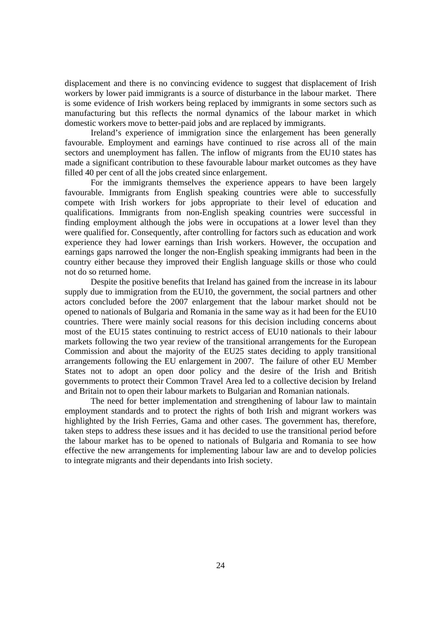displacement and there is no convincing evidence to suggest that displacement of Irish workers by lower paid immigrants is a source of disturbance in the labour market. There is some evidence of Irish workers being replaced by immigrants in some sectors such as manufacturing but this reflects the normal dynamics of the labour market in which domestic workers move to better-paid jobs and are replaced by immigrants.

Ireland's experience of immigration since the enlargement has been generally favourable. Employment and earnings have continued to rise across all of the main sectors and unemployment has fallen. The inflow of migrants from the EU10 states has made a significant contribution to these favourable labour market outcomes as they have filled 40 per cent of all the jobs created since enlargement.

For the immigrants themselves the experience appears to have been largely favourable. Immigrants from English speaking countries were able to successfully compete with Irish workers for jobs appropriate to their level of education and qualifications. Immigrants from non-English speaking countries were successful in finding employment although the jobs were in occupations at a lower level than they were qualified for. Consequently, after controlling for factors such as education and work experience they had lower earnings than Irish workers. However, the occupation and earnings gaps narrowed the longer the non-English speaking immigrants had been in the country either because they improved their English language skills or those who could not do so returned home.

Despite the positive benefits that Ireland has gained from the increase in its labour supply due to immigration from the EU10, the government, the social partners and other actors concluded before the 2007 enlargement that the labour market should not be opened to nationals of Bulgaria and Romania in the same way as it had been for the EU10 countries. There were mainly social reasons for this decision including concerns about most of the EU15 states continuing to restrict access of EU10 nationals to their labour markets following the two year review of the transitional arrangements for the European Commission and about the majority of the EU25 states deciding to apply transitional arrangements following the EU enlargement in 2007. The failure of other EU Member States not to adopt an open door policy and the desire of the Irish and British governments to protect their Common Travel Area led to a collective decision by Ireland and Britain not to open their labour markets to Bulgarian and Romanian nationals.

The need for better implementation and strengthening of labour law to maintain employment standards and to protect the rights of both Irish and migrant workers was highlighted by the Irish Ferries, Gama and other cases. The government has, therefore, taken steps to address these issues and it has decided to use the transitional period before the labour market has to be opened to nationals of Bulgaria and Romania to see how effective the new arrangements for implementing labour law are and to develop policies to integrate migrants and their dependants into Irish society.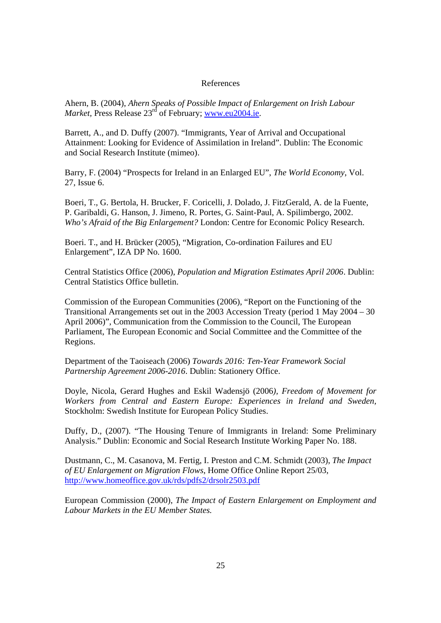## References

Ahern, B. (2004), *Ahern Speaks of Possible Impact of Enlargement on Irish Labour Market, Press Release 23<sup>rd</sup> of February; www.eu2004.ie.* 

Barrett, A., and D. Duffy (2007). "Immigrants, Year of Arrival and Occupational Attainment: Looking for Evidence of Assimilation in Ireland". Dublin: The Economic and Social Research Institute (mimeo).

Barry, F. (2004) "Prospects for Ireland in an Enlarged EU", *The World Economy*, Vol. 27, Issue 6.

Boeri, T., G. Bertola, H. Brucker, F. Coricelli, J. Dolado, J. FitzGerald, A. de la Fuente, P. Garibaldi, G. Hanson, J. Jimeno, R. Portes, G. Saint-Paul, A. Spilimbergo, 2002. *Who's Afraid of the Big Enlargement?* London: Centre for Economic Policy Research.

Boeri. T., and H. Brücker (2005), "Migration, Co-ordination Failures and EU Enlargement", IZA DP No. 1600.

Central Statistics Office (2006), *Population and Migration Estimates April 2006*. Dublin: Central Statistics Office bulletin.

Commission of the European Communities (2006), "Report on the Functioning of the Transitional Arrangements set out in the 2003 Accession Treaty (period 1 May 2004 – 30 April 2006)", Communication from the Commission to the Council, The European Parliament, The European Economic and Social Committee and the Committee of the Regions.

Department of the Taoiseach (2006) *Towards 2016: Ten-Year Framework Social Partnership Agreement 2006-2016*. Dublin: Stationery Office.

Doyle, Nicola, Gerard Hughes and Eskil Wadensjö (2006*), Freedom of Movement for Workers from Central and Eastern Europe: Experiences in Ireland and Sweden,* Stockholm: Swedish Institute for European Policy Studies.

Duffy, D., (2007). "The Housing Tenure of Immigrants in Ireland: Some Preliminary Analysis." Dublin: Economic and Social Research Institute Working Paper No. 188.

Dustmann, C., M. Casanova, M. Fertig, I. Preston and C.M. Schmidt (2003), *The Impact of EU Enlargement on Migration Flows*, Home Office Online Report 25/03, http://www.homeoffice.gov.uk/rds/pdfs2/drsolr2503.pdf

European Commission (2000), *The Impact of Eastern Enlargement on Employment and Labour Markets in the EU Member States.*